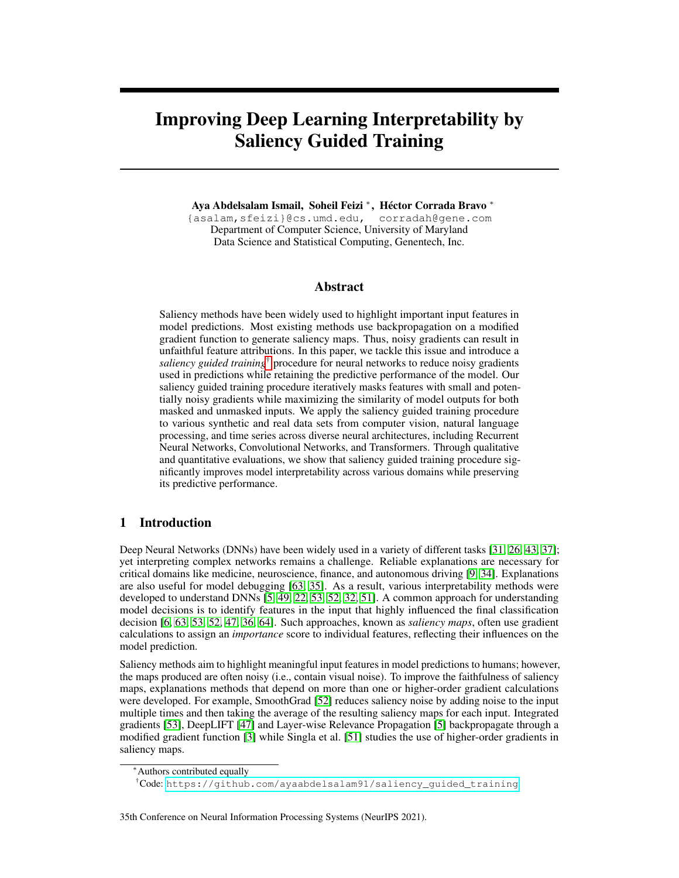# Improving Deep Learning Interpretability by Saliency Guided Training

Aya Abdelsalam Ismail, Soheil Feizi <sup>∗</sup> , Héctor Corrada Bravo <sup>∗</sup>

{asalam,sfeizi}@cs.umd.edu, corradah@gene.com Department of Computer Science, University of Maryland Data Science and Statistical Computing, Genentech, Inc.

## Abstract

Saliency methods have been widely used to highlight important input features in model predictions. Most existing methods use backpropagation on a modified gradient function to generate saliency maps. Thus, noisy gradients can result in unfaithful feature attributions. In this paper, we tackle this issue and introduce a *saliency guided training*† procedure for neural networks to reduce noisy gradients used in predictions while retaining the predictive performance of the model. Our saliency guided training procedure iteratively masks features with small and potentially noisy gradients while maximizing the similarity of model outputs for both masked and unmasked inputs. We apply the saliency guided training procedure to various synthetic and real data sets from computer vision, natural language processing, and time series across diverse neural architectures, including Recurrent Neural Networks, Convolutional Networks, and Transformers. Through qualitative and quantitative evaluations, we show that saliency guided training procedure significantly improves model interpretability across various domains while preserving its predictive performance.

# 1 Introduction

Deep Neural Networks (DNNs) have been widely used in a variety of different tasks [\[31,](#page-10-0) [26,](#page-10-1) [43,](#page-11-0) [37\]](#page-10-2); yet interpreting complex networks remains a challenge. Reliable explanations are necessary for critical domains like medicine, neuroscience, finance, and autonomous driving [\[9,](#page-9-0) [34\]](#page-10-3). Explanations are also useful for model debugging [\[63,](#page-12-0) [35\]](#page-10-4). As a result, various interpretability methods were developed to understand DNNs [\[5,](#page-9-1) [49,](#page-11-1) [22,](#page-10-5) [53,](#page-11-2) [52,](#page-11-3) [32,](#page-10-6) [51\]](#page-11-4). A common approach for understanding model decisions is to identify features in the input that highly influenced the final classification decision [\[6,](#page-9-2) [63,](#page-12-0) [53,](#page-11-2) [52,](#page-11-3) [47,](#page-11-5) [36,](#page-10-7) [64\]](#page-12-1). Such approaches, known as *saliency maps*, often use gradient calculations to assign an *importance* score to individual features, reflecting their influences on the model prediction.

Saliency methods aim to highlight meaningful input features in model predictions to humans; however, the maps produced are often noisy (i.e., contain visual noise). To improve the faithfulness of saliency maps, explanations methods that depend on more than one or higher-order gradient calculations were developed. For example, SmoothGrad [\[52\]](#page-11-3) reduces saliency noise by adding noise to the input multiple times and then taking the average of the resulting saliency maps for each input. Integrated gradients [\[53\]](#page-11-2), DeepLIFT [\[47\]](#page-11-5) and Layer-wise Relevance Propagation [\[5\]](#page-9-1) backpropagate through a modified gradient function [\[3\]](#page-9-3) while Singla et al. [\[51\]](#page-11-4) studies the use of higher-order gradients in saliency maps.

#### 35th Conference on Neural Information Processing Systems (NeurIPS 2021).

<sup>∗</sup>Authors contributed equally

<sup>†</sup>Code: [https://github.com/ayaabdelsalam91/saliency\\_guided\\_training](https://github.com/ayaabdelsalam91/saliency_guided_training)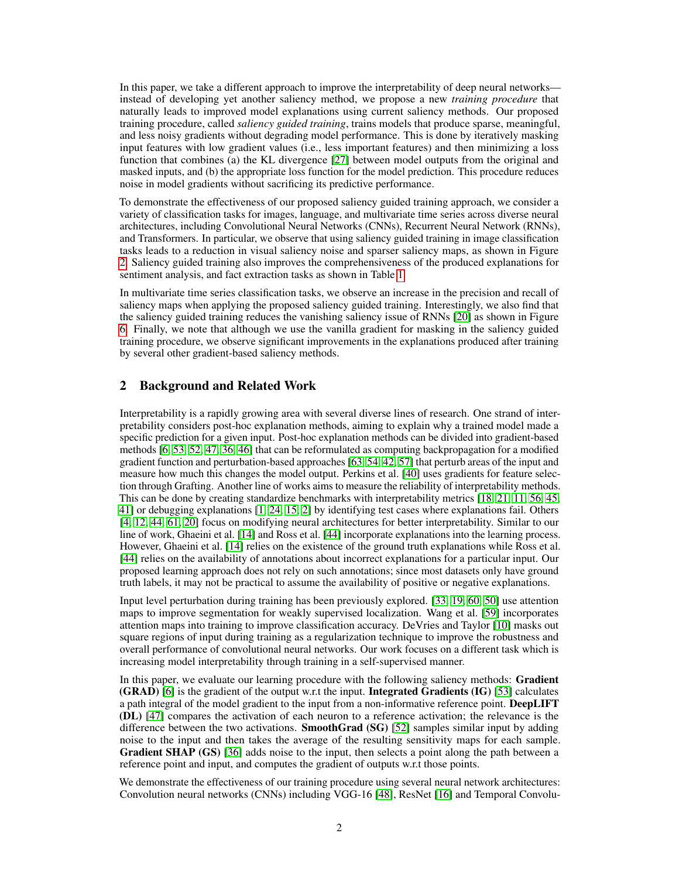In this paper, we take a different approach to improve the interpretability of deep neural networks instead of developing yet another saliency method, we propose a new *training procedure* that naturally leads to improved model explanations using current saliency methods. Our proposed training procedure, called *saliency guided training*, trains models that produce sparse, meaningful, and less noisy gradients without degrading model performance. This is done by iteratively masking input features with low gradient values (i.e., less important features) and then minimizing a loss function that combines (a) the KL divergence [\[27\]](#page-10-8) between model outputs from the original and masked inputs, and (b) the appropriate loss function for the model prediction. This procedure reduces noise in model gradients without sacrificing its predictive performance.

To demonstrate the effectiveness of our proposed saliency guided training approach, we consider a variety of classification tasks for images, language, and multivariate time series across diverse neural architectures, including Convolutional Neural Networks (CNNs), Recurrent Neural Network (RNNs), and Transformers. In particular, we observe that using saliency guided training in image classification tasks leads to a reduction in visual saliency noise and sparser saliency maps, as shown in Figure [2.](#page-4-0) Saliency guided training also improves the comprehensiveness of the produced explanations for sentiment analysis, and fact extraction tasks as shown in Table [1.](#page-6-0)

In multivariate time series classification tasks, we observe an increase in the precision and recall of saliency maps when applying the proposed saliency guided training. Interestingly, we also find that the saliency guided training reduces the vanishing saliency issue of RNNs [\[20\]](#page-9-4) as shown in Figure [6.](#page-8-0) Finally, we note that although we use the vanilla gradient for masking in the saliency guided training procedure, we observe significant improvements in the explanations produced after training by several other gradient-based saliency methods.

# 2 Background and Related Work

Interpretability is a rapidly growing area with several diverse lines of research. One strand of interpretability considers post-hoc explanation methods, aiming to explain why a trained model made a specific prediction for a given input. Post-hoc explanation methods can be divided into gradient-based methods [\[6,](#page-9-2) [53,](#page-11-2) [52,](#page-11-3) [47,](#page-11-5) [36,](#page-10-7) [46\]](#page-11-6) that can be reformulated as computing backpropagation for a modified gradient function and perturbation-based approaches [\[63,](#page-12-0) [54,](#page-11-7) [42,](#page-11-8) [57\]](#page-11-9) that perturb areas of the input and measure how much this changes the model output. Perkins et al. [\[40\]](#page-10-9) uses gradients for feature selection through Grafting. Another line of works aims to measure the reliability of interpretability methods. This can be done by creating standardize benchmarks with interpretability metrics [\[18,](#page-9-5) [21,](#page-10-10) [11,](#page-9-6) [56,](#page-11-10) [45,](#page-11-11) [41\]](#page-11-12) or debugging explanations [\[1,](#page-8-1) [24,](#page-10-11) [15,](#page-9-7) [2\]](#page-9-8) by identifying test cases where explanations fail. Others [\[4,](#page-9-9) [12,](#page-9-10) [44,](#page-11-13) [61,](#page-12-2) [20\]](#page-9-4) focus on modifying neural architectures for better interpretability. Similar to our line of work, Ghaeini et al. [\[14\]](#page-9-11) and Ross et al. [\[44\]](#page-11-13) incorporate explanations into the learning process. However, Ghaeini et al. [\[14\]](#page-9-11) relies on the existence of the ground truth explanations while Ross et al. [\[44\]](#page-11-13) relies on the availability of annotations about incorrect explanations for a particular input. Our proposed learning approach does not rely on such annotations; since most datasets only have ground truth labels, it may not be practical to assume the availability of positive or negative explanations.

Input level perturbation during training has been previously explored. [\[33,](#page-10-12) [19,](#page-9-12) [60,](#page-12-3) [50\]](#page-11-14) use attention maps to improve segmentation for weakly supervised localization. Wang et al. [\[59\]](#page-12-4) incorporates attention maps into training to improve classification accuracy. DeVries and Taylor [\[10\]](#page-9-13) masks out square regions of input during training as a regularization technique to improve the robustness and overall performance of convolutional neural networks. Our work focuses on a different task which is increasing model interpretability through training in a self-supervised manner.

In this paper, we evaluate our learning procedure with the following saliency methods: Gradient (GRAD) [\[6\]](#page-9-2) is the gradient of the output w.r.t the input. Integrated Gradients (IG) [\[53\]](#page-11-2) calculates a path integral of the model gradient to the input from a non-informative reference point. DeepLIFT (DL) [\[47\]](#page-11-5) compares the activation of each neuron to a reference activation; the relevance is the difference between the two activations. **SmoothGrad (SG)** [\[52\]](#page-11-3) samples similar input by adding noise to the input and then takes the average of the resulting sensitivity maps for each sample. Gradient SHAP (GS) [\[36\]](#page-10-7) adds noise to the input, then selects a point along the path between a reference point and input, and computes the gradient of outputs w.r.t those points.

We demonstrate the effectiveness of our training procedure using several neural network architectures: Convolution neural networks (CNNs) including VGG-16 [\[48\]](#page-11-15), ResNet [\[16\]](#page-9-14) and Temporal Convolu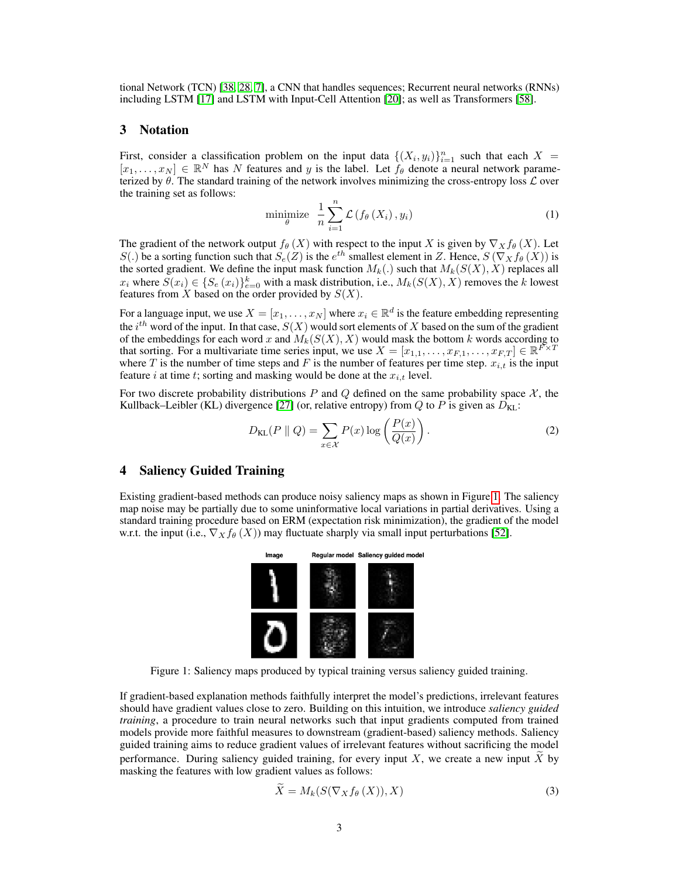tional Network (TCN) [\[38,](#page-10-13) [28,](#page-10-14) [7\]](#page-9-15), a CNN that handles sequences; Recurrent neural networks (RNNs) including LSTM [\[17\]](#page-9-16) and LSTM with Input-Cell Attention [\[20\]](#page-9-4); as well as Transformers [\[58\]](#page-11-16).

# 3 Notation

First, consider a classification problem on the input data  $\{(X_i, y_i)\}_{i=1}^n$  such that each  $X =$  $[x_1, \ldots, x_N] \in \mathbb{R}^N$  has N features and y is the label. Let  $f_\theta$  denote a neural network parameterized by  $\theta$ . The standard training of the network involves minimizing the cross-entropy loss  $\mathcal L$  over the training set as follows:

$$
\underset{\theta}{\text{minimize}} \quad \frac{1}{n} \sum_{i=1}^{n} \mathcal{L} \left( f_{\theta} \left( X_i \right), y_i \right) \tag{1}
$$

The gradient of the network output  $f_{\theta}(X)$  with respect to the input X is given by  $\nabla_X f_{\theta}(X)$ . Let S(.) be a sorting function such that  $S_e(Z)$  is the  $e^{th}$  smallest element in Z. Hence,  $S(\nabla_X f_\theta(X))$  is the sorted gradient. We define the input mask function  $M_k(.)$  such that  $M_k(S(X), X)$  replaces all  $x_i$  where  $S(x_i) \in \{S_e(x_i)\}_{e=0}^k$  with a mask distribution, i.e.,  $M_k(S(X), X)$  removes the k lowest features from  $X$  based on the order provided by  $S(X)$ .

For a language input, we use  $X = [x_1, \ldots, x_N]$  where  $x_i \in \mathbb{R}^d$  is the feature embedding representing the  $i^{th}$  word of the input. In that case,  $S(X)$  would sort elements of X based on the sum of the gradient of the embeddings for each word x and  $M_k(S(X), X)$  would mask the bottom k words according to that sorting. For a multivariate time series input, we use  $X = [x_{1,1}, \ldots, x_{F,1}, \ldots, x_{F,T}] \in \mathbb{R}^{F \times T}$ where T is the number of time steps and F is the number of features per time step.  $x_{i,t}$  is the input feature i at time t; sorting and masking would be done at the  $x_{i,t}$  level.

For two discrete probability distributions P and Q defined on the same probability space  $\mathcal{X}$ , the Kullback–Leibler (KL) divergence [\[27\]](#page-10-8) (or, relative entropy) from Q to P is given as  $D_{KL}$ :

$$
D_{\text{KL}}(P \parallel Q) = \sum_{x \in \mathcal{X}} P(x) \log \left( \frac{P(x)}{Q(x)} \right). \tag{2}
$$

# 4 Saliency Guided Training

<span id="page-2-0"></span>Existing gradient-based methods can produce noisy saliency maps as shown in Figure [1.](#page-2-0) The saliency map noise may be partially due to some uninformative local variations in partial derivatives. Using a standard training procedure based on ERM (expectation risk minimization), the gradient of the model w.r.t. the input (i.e.,  $\nabla_X f_\theta(X)$ ) may fluctuate sharply via small input perturbations [\[52\]](#page-11-3).



Figure 1: Saliency maps produced by typical training versus saliency guided training.

If gradient-based explanation methods faithfully interpret the model's predictions, irrelevant features should have gradient values close to zero. Building on this intuition, we introduce *saliency guided training*, a procedure to train neural networks such that input gradients computed from trained models provide more faithful measures to downstream (gradient-based) saliency methods. Saliency guided training aims to reduce gradient values of irrelevant features without sacrificing the model performance. During saliency guided training, for every input  $X$ , we create a new input  $X$  by masking the features with low gradient values as follows:

$$
X = M_k(S(\nabla_X f_\theta(X)), X)
$$
\n(3)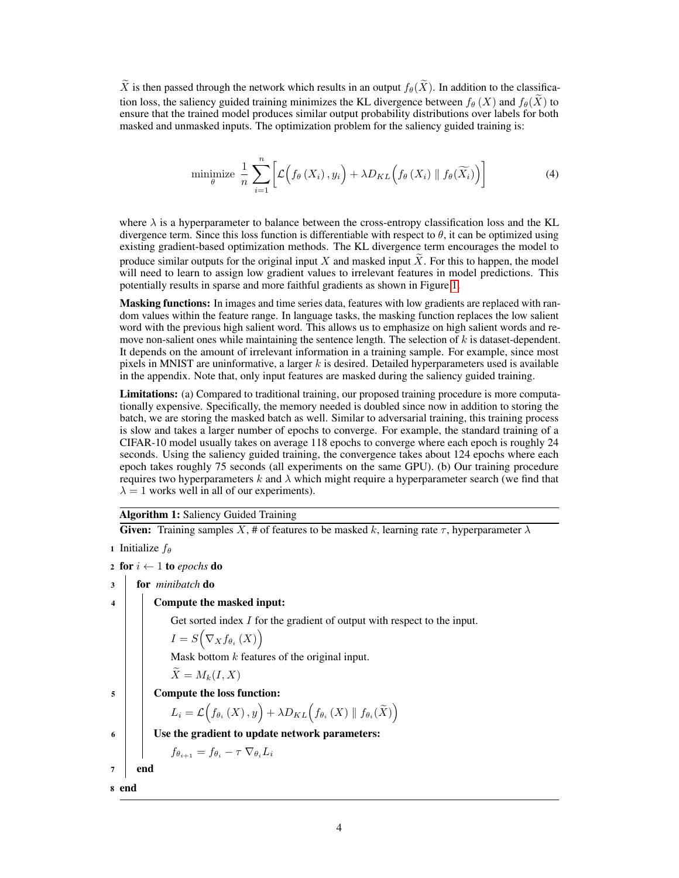$\widetilde{X}$  is then passed through the network which results in an output  $f_{\theta}(\widetilde{X})$ . In addition to the classification loss, the saliency guided training minimizes the KL divergence between  $f_\theta(X)$  and  $f_\theta(X)$  to ensure that the trained model produces similar output probability distributions over labels for both masked and unmasked inputs. The optimization problem for the saliency guided training is:

minimize 
$$
\frac{1}{n} \sum_{i=1}^{n} \left[ \mathcal{L} \left( f_{\theta} \left( X_i \right), y_i \right) + \lambda D_{KL} \left( f_{\theta} \left( X_i \right) \parallel f_{\theta} \left( \widetilde{X}_i \right) \right) \right]
$$
 (4)

where  $\lambda$  is a hyperparameter to balance between the cross-entropy classification loss and the KL divergence term. Since this loss function is differentiable with respect to  $\theta$ , it can be optimized using existing gradient-based optimization methods. The KL divergence term encourages the model to produce similar outputs for the original input X and masked input X. For this to happen, the model will need to learn to assign low gradient values to irrelevant features in model predictions. This potentially results in sparse and more faithful gradients as shown in Figure [1.](#page-2-0)

Masking functions: In images and time series data, features with low gradients are replaced with random values within the feature range. In language tasks, the masking function replaces the low salient word with the previous high salient word. This allows us to emphasize on high salient words and remove non-salient ones while maintaining the sentence length. The selection of  $k$  is dataset-dependent. It depends on the amount of irrelevant information in a training sample. For example, since most pixels in MNIST are uninformative, a larger  $k$  is desired. Detailed hyperparameters used is available in the appendix. Note that, only input features are masked during the saliency guided training.

Limitations: (a) Compared to traditional training, our proposed training procedure is more computationally expensive. Specifically, the memory needed is doubled since now in addition to storing the batch, we are storing the masked batch as well. Similar to adversarial training, this training process is slow and takes a larger number of epochs to converge. For example, the standard training of a CIFAR-10 model usually takes on average 118 epochs to converge where each epoch is roughly 24 seconds. Using the saliency guided training, the convergence takes about 124 epochs where each epoch takes roughly 75 seconds (all experiments on the same GPU). (b) Our training procedure requires two hyperparameters k and  $\lambda$  which might require a hyperparameter search (we find that  $\lambda = 1$  works well in all of our experiments).

Algorithm 1: Saliency Guided Training

Given: Training samples X, # of features to be masked k, learning rate  $\tau$ , hyperparameter  $\lambda$ 

1 Initialize  $f_{\theta}$ 

2 for  $i \leftarrow 1$  to *epochs* do

- <sup>3</sup> for *minibatch* do
- <sup>4</sup> Compute the masked input:

Get sorted index *I* for the gradient of output with respect to the input.

$$
I = S\big(\nabla_X f_{\theta_i}\left(X\right)\big)
$$

Mask bottom  $k$  features of the original input.

$$
X=M_k(I,X)
$$

<sup>5</sup> Compute the loss function:

$$
L_{i}=\mathcal{L}\Big(f_{\theta_{i}}\left(X\right),y\Big)+\lambda D_{KL}\Big(f_{\theta_{i}}\left(X\right)\parallel f_{\theta_{i}}(\widetilde{X})\Big)
$$

 $\begin{array}{c|c} 6 & \end{array}$  Use the gradient to update network parameters:

$$
f_{\theta_{i+1}} = f_{\theta_i} - \tau \nabla_{\theta_i} L_i
$$

 $7$  end

<sup>8</sup> end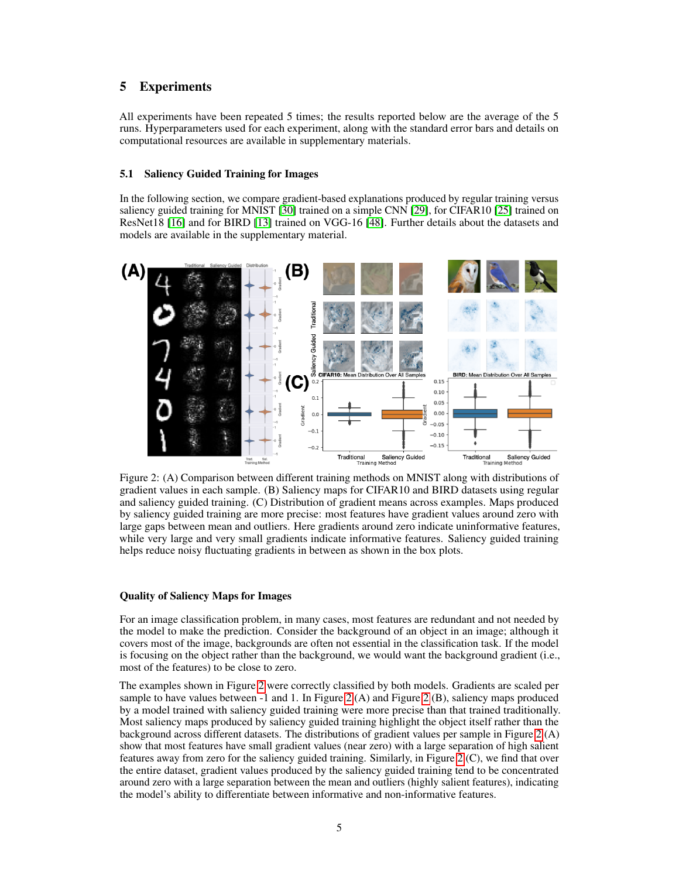# 5 Experiments

All experiments have been repeated 5 times; the results reported below are the average of the 5 runs. Hyperparameters used for each experiment, along with the standard error bars and details on computational resources are available in supplementary materials.

### 5.1 Saliency Guided Training for Images

In the following section, we compare gradient-based explanations produced by regular training versus saliency guided training for MNIST [\[30\]](#page-10-15) trained on a simple CNN [\[29\]](#page-10-16), for CIFAR10 [\[25\]](#page-10-17) trained on ResNet18 [\[16\]](#page-9-14) and for BIRD [\[13\]](#page-9-17) trained on VGG-16 [\[48\]](#page-11-15). Further details about the datasets and models are available in the supplementary material.

<span id="page-4-0"></span>

Figure 2: (A) Comparison between different training methods on MNIST along with distributions of gradient values in each sample. (B) Saliency maps for CIFAR10 and BIRD datasets using regular and saliency guided training. (C) Distribution of gradient means across examples. Maps produced by saliency guided training are more precise: most features have gradient values around zero with large gaps between mean and outliers. Here gradients around zero indicate uninformative features, while very large and very small gradients indicate informative features. Saliency guided training helps reduce noisy fluctuating gradients in between as shown in the box plots.

#### Quality of Saliency Maps for Images

For an image classification problem, in many cases, most features are redundant and not needed by the model to make the prediction. Consider the background of an object in an image; although it covers most of the image, backgrounds are often not essential in the classification task. If the model is focusing on the object rather than the background, we would want the background gradient (i.e., most of the features) to be close to zero.

The examples shown in Figure [2](#page-4-0) were correctly classified by both models. Gradients are scaled per sample to have values between  $-1$  and 1. In Figure [2](#page-4-0) (A) and Figure 2 (B), saliency maps produced by a model trained with saliency guided training were more precise than that trained traditionally. Most saliency maps produced by saliency guided training highlight the object itself rather than the background across different datasets. The distributions of gradient values per sample in Figure [2](#page-4-0) (A) show that most features have small gradient values (near zero) with a large separation of high salient features away from zero for the saliency guided training. Similarly, in Figure [2](#page-4-0) (C), we find that over the entire dataset, gradient values produced by the saliency guided training tend to be concentrated around zero with a large separation between the mean and outliers (highly salient features), indicating the model's ability to differentiate between informative and non-informative features.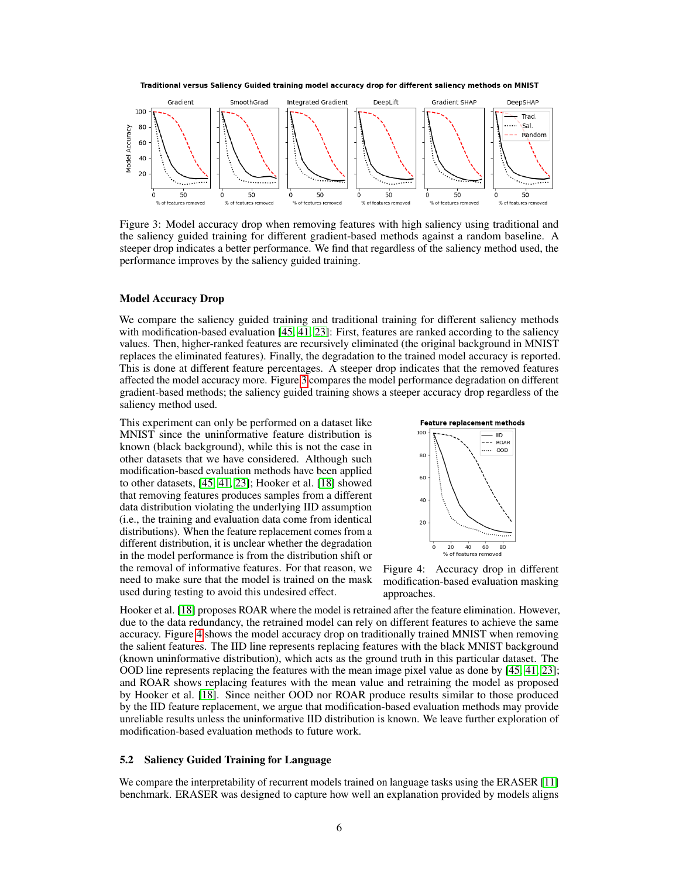<span id="page-5-0"></span>



Figure 3: Model accuracy drop when removing features with high saliency using traditional and the saliency guided training for different gradient-based methods against a random baseline. A steeper drop indicates a better performance. We find that regardless of the saliency method used, the performance improves by the saliency guided training.

#### Model Accuracy Drop

We compare the saliency guided training and traditional training for different saliency methods with modification-based evaluation [\[45,](#page-11-11) [41,](#page-11-12) [23\]](#page-10-18): First, features are ranked according to the saliency values. Then, higher-ranked features are recursively eliminated (the original background in MNIST replaces the eliminated features). Finally, the degradation to the trained model accuracy is reported. This is done at different feature percentages. A steeper drop indicates that the removed features affected the model accuracy more. Figure [3](#page-5-0) compares the model performance degradation on different gradient-based methods; the saliency guided training shows a steeper accuracy drop regardless of the saliency method used.

This experiment can only be performed on a dataset like MNIST since the uninformative feature distribution is known (black background), while this is not the case in other datasets that we have considered. Although such modification-based evaluation methods have been applied to other datasets, [\[45,](#page-11-11) [41,](#page-11-12) [23\]](#page-10-18); Hooker et al. [\[18\]](#page-9-5) showed that removing features produces samples from a different data distribution violating the underlying IID assumption (i.e., the training and evaluation data come from identical distributions). When the feature replacement comes from a different distribution, it is unclear whether the degradation in the model performance is from the distribution shift or the removal of informative features. For that reason, we need to make sure that the model is trained on the mask used during testing to avoid this undesired effect.

<span id="page-5-1"></span>

Figure 4: Accuracy drop in different modification-based evaluation masking approaches.

Hooker et al. [\[18\]](#page-9-5) proposes ROAR where the model is retrained after the feature elimination. However, due to the data redundancy, the retrained model can rely on different features to achieve the same accuracy. Figure [4](#page-5-1) shows the model accuracy drop on traditionally trained MNIST when removing the salient features. The IID line represents replacing features with the black MNIST background (known uninformative distribution), which acts as the ground truth in this particular dataset. The OOD line represents replacing the features with the mean image pixel value as done by [\[45,](#page-11-11) [41,](#page-11-12) [23\]](#page-10-18); and ROAR shows replacing features with the mean value and retraining the model as proposed by Hooker et al. [\[18\]](#page-9-5). Since neither OOD nor ROAR produce results similar to those produced by the IID feature replacement, we argue that modification-based evaluation methods may provide unreliable results unless the uninformative IID distribution is known. We leave further exploration of modification-based evaluation methods to future work.

#### 5.2 Saliency Guided Training for Language

We compare the interpretability of recurrent models trained on language tasks using the ERASER [\[11\]](#page-9-6) benchmark. ERASER was designed to capture how well an explanation provided by models aligns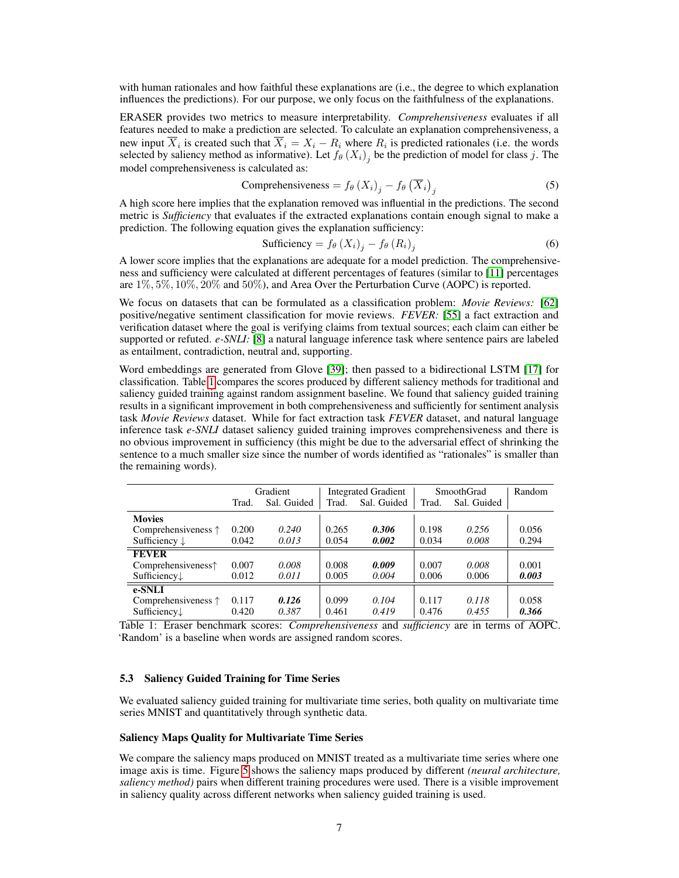with human rationales and how faithful these explanations are (i.e., the degree to which explanation influences the predictions). For our purpose, we only focus on the faithfulness of the explanations.

ERASER provides two metrics to measure interpretability. *Comprehensiveness* evaluates if all features needed to make a prediction are selected. To calculate an explanation comprehensiveness, a new input  $X_i$  is created such that  $X_i = X_i - R_i$  where  $R_i$  is predicted rationales (i.e. the words selected by saliency method as informative). Let  $f_{\theta}(X_i)$  be the prediction of model for class j. The model comprehensiveness is calculated as:

Comprehensiveness = 
$$
f_{\theta}(X_i)_j - f_{\theta}(\overline{X}_i)_j
$$
 (5)

A high score here implies that the explanation removed was influential in the predictions. The second metric is *Sufficiency* that evaluates if the extracted explanations contain enough signal to make a prediction. The following equation gives the explanation sufficiency:

$$
\text{Sufficiency} = f_{\theta} \left( X_i \right)_j - f_{\theta} \left( R_i \right)_j \tag{6}
$$

A lower score implies that the explanations are adequate for a model prediction. The comprehensiveness and sufficiency were calculated at different percentages of features (similar to [\[11\]](#page-9-6) percentages are  $1\%, 5\%, 10\%, 20\%$  and  $50\%$ ), and Area Over the Perturbation Curve (AOPC) is reported.

We focus on datasets that can be formulated as a classification problem: *Movie Reviews:* [\[62\]](#page-12-5) positive/negative sentiment classification for movie reviews. *FEVER:* [\[55\]](#page-11-17) a fact extraction and verification dataset where the goal is verifying claims from textual sources; each claim can either be supported or refuted. *e-SNLI:* [\[8\]](#page-9-18) a natural language inference task where sentence pairs are labeled as entailment, contradiction, neutral and, supporting.

Word embeddings are generated from Glove [\[39\]](#page-10-19); then passed to a bidirectional LSTM [\[17\]](#page-9-16) for classification. Table [1](#page-6-0) compares the scores produced by different saliency methods for traditional and saliency guided training against random assignment baseline. We found that saliency guided training results in a significant improvement in both comprehensiveness and sufficiently for sentiment analysis task *Movie Reviews* dataset. While for fact extraction task *FEVER* dataset, and natural language inference task *e-SNLI* dataset saliency guided training improves comprehensiveness and there is no obvious improvement in sufficiency (this might be due to the adversarial effect of shrinking the sentence to a much smaller size since the number of words identified as "rationales" is smaller than the remaining words).

<span id="page-6-0"></span>

|                              |       | Gradient    |       | <b>Integrated Gradient</b> | SmoothGrad | Random      |       |
|------------------------------|-------|-------------|-------|----------------------------|------------|-------------|-------|
|                              | Trad. | Sal. Guided | Trad. | Sal. Guided                | Trad.      | Sal. Guided |       |
| <b>Movies</b>                |       |             |       |                            |            |             |       |
| Comprehensiveness $\uparrow$ | 0.200 | 0.240       | 0.265 | 0.306                      | 0.198      | 0.256       | 0.056 |
| Sufficiency $\downarrow$     | 0.042 | 0.013       | 0.054 | 0.002                      | 0.034      | 0.008       | 0.294 |
| <b>FEVER</b>                 |       |             |       |                            |            |             |       |
| Comprehensiveness $\uparrow$ | 0.007 | 0.008       | 0.008 | 0.009                      | 0.007      | 0.008       | 0.001 |
| Sufficiency $\downarrow$     | 0.012 | 0.011       | 0.005 | 0.004                      | 0.006      | 0.006       | 0.003 |
| e-SNLI                       |       |             |       |                            |            |             |       |
| Comprehensiveness $\uparrow$ | 0.117 | 0.126       | 0.099 | 0.104                      | 0.117      | 0.118       | 0.058 |
| Sufficiency $\downarrow$     | 0.420 | 0.387       | 0.461 | 0.419                      | 0.476      | 0.455       | 0.366 |

Table 1: Eraser benchmark scores: *Comprehensiveness* and *sufficiency* are in terms of AOPC. 'Random' is a baseline when words are assigned random scores.

#### 5.3 Saliency Guided Training for Time Series

We evaluated saliency guided training for multivariate time series, both quality on multivariate time series MNIST and quantitatively through synthetic data.

## Saliency Maps Quality for Multivariate Time Series

We compare the saliency maps produced on MNIST treated as a multivariate time series where one image axis is time. Figure [5](#page-7-0) shows the saliency maps produced by different *(neural architecture, saliency method)* pairs when different training procedures were used. There is a visible improvement in saliency quality across different networks when saliency guided training is used.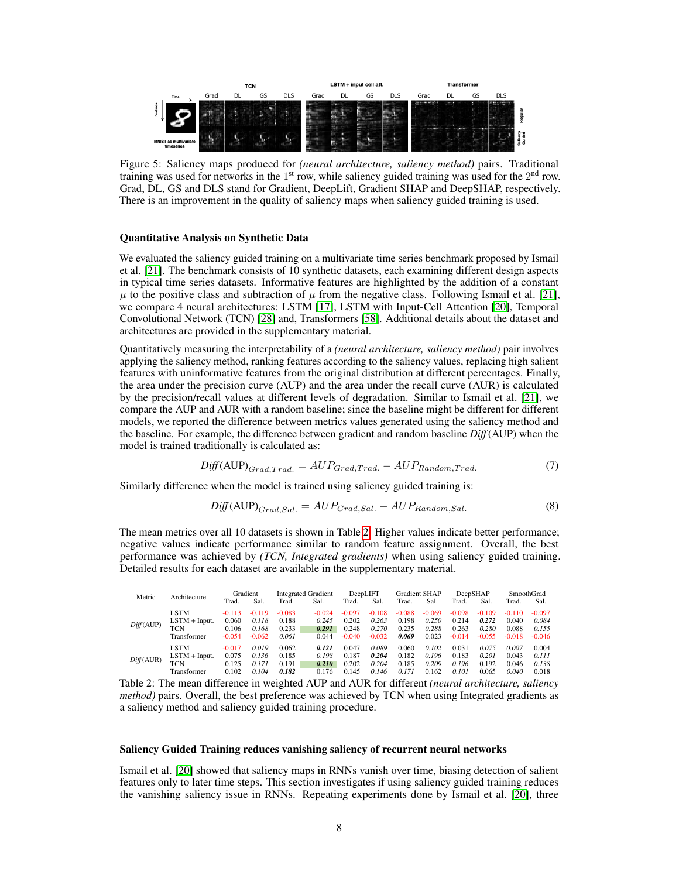<span id="page-7-0"></span>

Figure 5: Saliency maps produced for *(neural architecture, saliency method)* pairs. Traditional training was used for networks in the  $1<sup>st</sup>$  row, while saliency guided training was used for the  $2<sup>nd</sup>$  row. Grad, DL, GS and DLS stand for Gradient, DeepLift, Gradient SHAP and DeepSHAP, respectively. There is an improvement in the quality of saliency maps when saliency guided training is used.

#### Quantitative Analysis on Synthetic Data

We evaluated the saliency guided training on a multivariate time series benchmark proposed by Ismail et al. [\[21\]](#page-10-10). The benchmark consists of 10 synthetic datasets, each examining different design aspects in typical time series datasets. Informative features are highlighted by the addition of a constant  $\mu$  to the positive class and subtraction of  $\mu$  from the negative class. Following Ismail et al. [\[21\]](#page-10-10), we compare 4 neural architectures: LSTM [\[17\]](#page-9-16), LSTM with Input-Cell Attention [\[20\]](#page-9-4), Temporal Convolutional Network (TCN) [\[28\]](#page-10-14) and, Transformers [\[58\]](#page-11-16). Additional details about the dataset and architectures are provided in the supplementary material.

Quantitatively measuring the interpretability of a *(neural architecture, saliency method)* pair involves applying the saliency method, ranking features according to the saliency values, replacing high salient features with uninformative features from the original distribution at different percentages. Finally, the area under the precision curve (AUP) and the area under the recall curve (AUR) is calculated by the precision/recall values at different levels of degradation. Similar to Ismail et al. [\[21\]](#page-10-10), we compare the AUP and AUR with a random baseline; since the baseline might be different for different models, we reported the difference between metrics values generated using the saliency method and the baseline. For example, the difference between gradient and random baseline *Diff*(AUP) when the model is trained traditionally is calculated as:

$$
Diff(AUP)_{Grad,Trad.} = AUP_{Grad,Trad.} - AUP_{Random,Trad.} \tag{7}
$$

Similarly difference when the model is trained using saliency guided training is:

$$
Diff(AUP)_{Grad, Sal.} = AUP_{Grad, Sal.} - AUP_{Random, Sal.}
$$
\n(8)

The mean metrics over all 10 datasets is shown in Table [2.](#page-7-1) Higher values indicate better performance; negative values indicate performance similar to random feature assignment. Overall, the best performance was achieved by *(TCN, Integrated gradients)* when using saliency guided training. Detailed results for each dataset are available in the supplementary material.

<span id="page-7-1"></span>

| Metric    | Architecture    | Gradient |          | <b>Integrated Gradient</b> |          | DeepLIFT |          | <b>Gradient SHAP</b> |          | DeepSHAP |          | SmoothGrad |          |
|-----------|-----------------|----------|----------|----------------------------|----------|----------|----------|----------------------|----------|----------|----------|------------|----------|
|           |                 | Trad.    | Sal.     | Trad.                      | Sal.     | Trad.    | Sal.     | Trad.                | Sal.     | Trad.    | Sal.     | Trad.      | Sal.     |
| Diff(AUP) | <b>LSTM</b>     | $-0.113$ | $-0.119$ | $-0.083$                   | $-0.024$ | $-0.097$ | $-0.108$ | $-0.088$             | $-0.069$ | $-0.098$ | $-0.109$ | $-0.110$   | $-0.097$ |
|           | $LSTM + Input.$ | 0.060    | 0.118    | 0.188                      | 0.245    | 0.202    | 0.263    | 0.198                | 0.250    | 0.214    | 0.272    | 0.040      | 0.084    |
|           | TCN             | 0.106    | 0.168    | 0.233                      | 0.291    | 0.248    | 0.270    | 0.235                | 0.288    | 0.263    | 0.280    | 0.088      | 0.155    |
|           | Transformer     | $-0.054$ | $-0.062$ | 0.061                      | 0.044    | $-0.040$ | $-0.032$ | 0.069                | 0.023    | $-0.014$ | $-0.055$ | $-0.018$   | $-0.046$ |
| Diff(AUR) | <b>LSTM</b>     | $-0.017$ | 0.019    | 0.062                      | 0.121    | 0.047    | 0.089    | 0.060                | 0.102    | 0.031    | 0.075    | 0.007      | 0.004    |
|           | $LSTM + Input.$ | 0.075    | 0.136    | 0.185                      | 0.198    | 0.187    | 0.204    | 0.182                | 0.196    | 0.183    | 0.201    | 0.043      | 0.111    |
|           | <b>TCN</b>      | 0.125    | 0.171    | 0.191                      | 0.210    | 0.202    | 0.204    | 0.185                | 0.209    | 0.196    | 0.192    | 0.046      | 0.138    |
|           | Transformer     | 0.102    | 0.104    | 0.182                      | 0.176    | 0.145    | 0.146    | 0.171                | 0.162    | 0.101    | 0.065    | 0.040      | 0.018    |

Table 2: The mean difference in weighted AUP and AUR for different *(neural architecture, saliency method*) pairs. Overall, the best preference was achieved by TCN when using Integrated gradients as a saliency method and saliency guided training procedure.

#### Saliency Guided Training reduces vanishing saliency of recurrent neural networks

Ismail et al. [\[20\]](#page-9-4) showed that saliency maps in RNNs vanish over time, biasing detection of salient features only to later time steps. This section investigates if using saliency guided training reduces the vanishing saliency issue in RNNs. Repeating experiments done by Ismail et al. [\[20\]](#page-9-4), three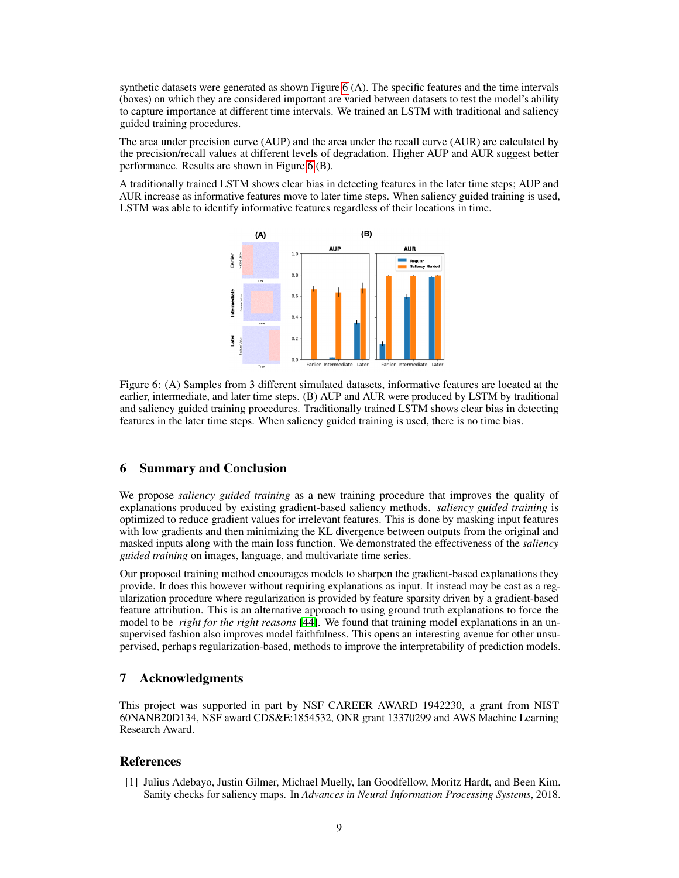synthetic datasets were generated as shown Figure [6](#page-8-0) (A). The specific features and the time intervals (boxes) on which they are considered important are varied between datasets to test the model's ability to capture importance at different time intervals. We trained an LSTM with traditional and saliency guided training procedures.

The area under precision curve (AUP) and the area under the recall curve (AUR) are calculated by the precision/recall values at different levels of degradation. Higher AUP and AUR suggest better performance. Results are shown in Figure [6](#page-8-0) (B).

<span id="page-8-0"></span>A traditionally trained LSTM shows clear bias in detecting features in the later time steps; AUP and AUR increase as informative features move to later time steps. When saliency guided training is used, LSTM was able to identify informative features regardless of their locations in time.



Figure 6: (A) Samples from 3 different simulated datasets, informative features are located at the earlier, intermediate, and later time steps. (B) AUP and AUR were produced by LSTM by traditional and saliency guided training procedures. Traditionally trained LSTM shows clear bias in detecting features in the later time steps. When saliency guided training is used, there is no time bias.

# 6 Summary and Conclusion

We propose *saliency guided training* as a new training procedure that improves the quality of explanations produced by existing gradient-based saliency methods. *saliency guided training* is optimized to reduce gradient values for irrelevant features. This is done by masking input features with low gradients and then minimizing the KL divergence between outputs from the original and masked inputs along with the main loss function. We demonstrated the effectiveness of the *saliency guided training* on images, language, and multivariate time series.

Our proposed training method encourages models to sharpen the gradient-based explanations they provide. It does this however without requiring explanations as input. It instead may be cast as a regularization procedure where regularization is provided by feature sparsity driven by a gradient-based feature attribution. This is an alternative approach to using ground truth explanations to force the model to be *right for the right reasons* [\[44\]](#page-11-13). We found that training model explanations in an unsupervised fashion also improves model faithfulness. This opens an interesting avenue for other unsupervised, perhaps regularization-based, methods to improve the interpretability of prediction models.

## 7 Acknowledgments

This project was supported in part by NSF CAREER AWARD 1942230, a grant from NIST 60NANB20D134, NSF award CDS&E:1854532, ONR grant 13370299 and AWS Machine Learning Research Award.

## References

<span id="page-8-1"></span>[1] Julius Adebayo, Justin Gilmer, Michael Muelly, Ian Goodfellow, Moritz Hardt, and Been Kim. Sanity checks for saliency maps. In *Advances in Neural Information Processing Systems*, 2018.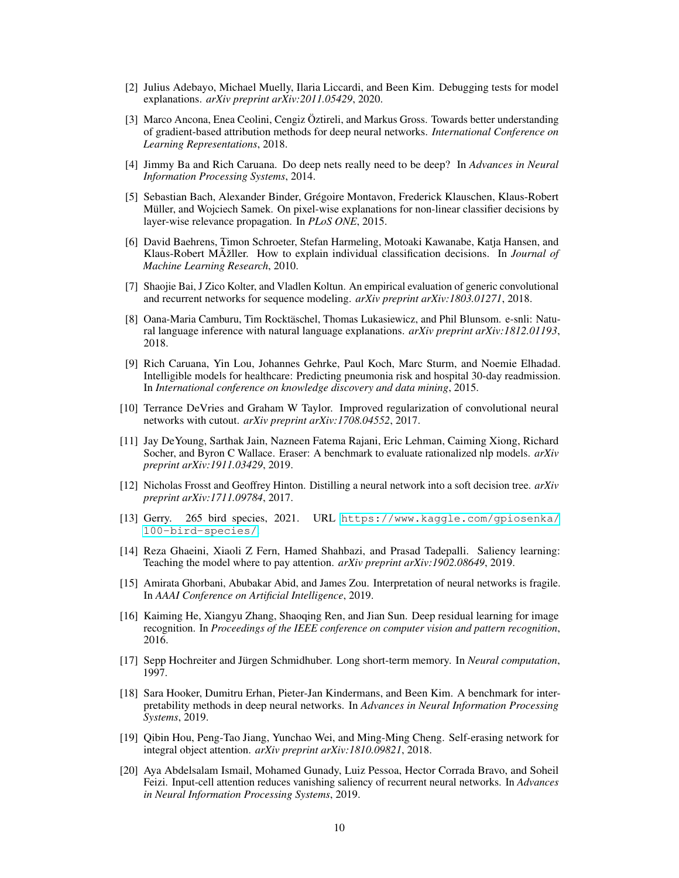- <span id="page-9-8"></span>[2] Julius Adebayo, Michael Muelly, Ilaria Liccardi, and Been Kim. Debugging tests for model explanations. *arXiv preprint arXiv:2011.05429*, 2020.
- <span id="page-9-3"></span>[3] Marco Ancona, Enea Ceolini, Cengiz Öztireli, and Markus Gross. Towards better understanding of gradient-based attribution methods for deep neural networks. *International Conference on Learning Representations*, 2018.
- <span id="page-9-9"></span>[4] Jimmy Ba and Rich Caruana. Do deep nets really need to be deep? In *Advances in Neural Information Processing Systems*, 2014.
- <span id="page-9-1"></span>[5] Sebastian Bach, Alexander Binder, Grégoire Montavon, Frederick Klauschen, Klaus-Robert Müller, and Wojciech Samek. On pixel-wise explanations for non-linear classifier decisions by layer-wise relevance propagation. In *PLoS ONE*, 2015.
- <span id="page-9-2"></span>[6] David Baehrens, Timon Schroeter, Stefan Harmeling, Motoaki Kawanabe, Katja Hansen, and Klaus-Robert MÄžller. How to explain individual classification decisions. In *Journal of Machine Learning Research*, 2010.
- <span id="page-9-15"></span>[7] Shaojie Bai, J Zico Kolter, and Vladlen Koltun. An empirical evaluation of generic convolutional and recurrent networks for sequence modeling. *arXiv preprint arXiv:1803.01271*, 2018.
- <span id="page-9-18"></span>[8] Oana-Maria Camburu, Tim Rocktäschel, Thomas Lukasiewicz, and Phil Blunsom. e-snli: Natural language inference with natural language explanations. *arXiv preprint arXiv:1812.01193*, 2018.
- <span id="page-9-0"></span>[9] Rich Caruana, Yin Lou, Johannes Gehrke, Paul Koch, Marc Sturm, and Noemie Elhadad. Intelligible models for healthcare: Predicting pneumonia risk and hospital 30-day readmission. In *International conference on knowledge discovery and data mining*, 2015.
- <span id="page-9-13"></span>[10] Terrance DeVries and Graham W Taylor. Improved regularization of convolutional neural networks with cutout. *arXiv preprint arXiv:1708.04552*, 2017.
- <span id="page-9-6"></span>[11] Jay DeYoung, Sarthak Jain, Nazneen Fatema Rajani, Eric Lehman, Caiming Xiong, Richard Socher, and Byron C Wallace. Eraser: A benchmark to evaluate rationalized nlp models. *arXiv preprint arXiv:1911.03429*, 2019.
- <span id="page-9-10"></span>[12] Nicholas Frosst and Geoffrey Hinton. Distilling a neural network into a soft decision tree. *arXiv preprint arXiv:1711.09784*, 2017.
- <span id="page-9-17"></span>[13] Gerry. 265 bird species, 2021. URL [https://www.kaggle.com/gpiosenka/](https://www.kaggle.com/gpiosenka/100-bird-species/) [100-bird-species/](https://www.kaggle.com/gpiosenka/100-bird-species/).
- <span id="page-9-11"></span>[14] Reza Ghaeini, Xiaoli Z Fern, Hamed Shahbazi, and Prasad Tadepalli. Saliency learning: Teaching the model where to pay attention. *arXiv preprint arXiv:1902.08649*, 2019.
- <span id="page-9-7"></span>[15] Amirata Ghorbani, Abubakar Abid, and James Zou. Interpretation of neural networks is fragile. In *AAAI Conference on Artificial Intelligence*, 2019.
- <span id="page-9-14"></span>[16] Kaiming He, Xiangyu Zhang, Shaoqing Ren, and Jian Sun. Deep residual learning for image recognition. In *Proceedings of the IEEE conference on computer vision and pattern recognition*, 2016.
- <span id="page-9-16"></span>[17] Sepp Hochreiter and Jürgen Schmidhuber. Long short-term memory. In *Neural computation*, 1997.
- <span id="page-9-5"></span>[18] Sara Hooker, Dumitru Erhan, Pieter-Jan Kindermans, and Been Kim. A benchmark for interpretability methods in deep neural networks. In *Advances in Neural Information Processing Systems*, 2019.
- <span id="page-9-12"></span>[19] Qibin Hou, Peng-Tao Jiang, Yunchao Wei, and Ming-Ming Cheng. Self-erasing network for integral object attention. *arXiv preprint arXiv:1810.09821*, 2018.
- <span id="page-9-4"></span>[20] Aya Abdelsalam Ismail, Mohamed Gunady, Luiz Pessoa, Hector Corrada Bravo, and Soheil Feizi. Input-cell attention reduces vanishing saliency of recurrent neural networks. In *Advances in Neural Information Processing Systems*, 2019.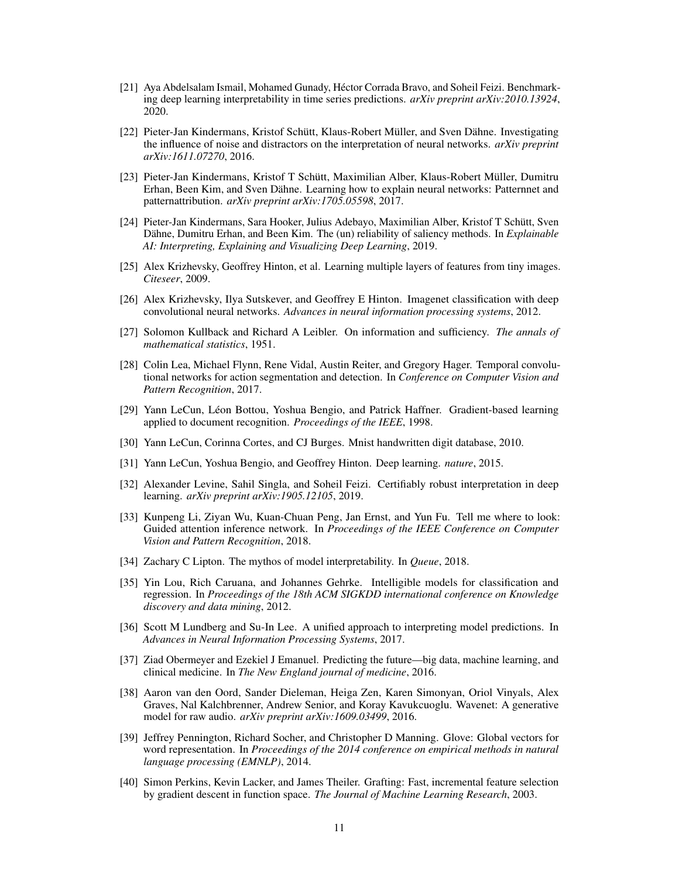- <span id="page-10-10"></span>[21] Aya Abdelsalam Ismail, Mohamed Gunady, Héctor Corrada Bravo, and Soheil Feizi. Benchmarking deep learning interpretability in time series predictions. *arXiv preprint arXiv:2010.13924*, 2020.
- <span id="page-10-5"></span>[22] Pieter-Jan Kindermans, Kristof Schütt, Klaus-Robert Müller, and Sven Dähne. Investigating the influence of noise and distractors on the interpretation of neural networks. *arXiv preprint arXiv:1611.07270*, 2016.
- <span id="page-10-18"></span>[23] Pieter-Jan Kindermans, Kristof T Schütt, Maximilian Alber, Klaus-Robert Müller, Dumitru Erhan, Been Kim, and Sven Dähne. Learning how to explain neural networks: Patternnet and patternattribution. *arXiv preprint arXiv:1705.05598*, 2017.
- <span id="page-10-11"></span>[24] Pieter-Jan Kindermans, Sara Hooker, Julius Adebayo, Maximilian Alber, Kristof T Schütt, Sven Dähne, Dumitru Erhan, and Been Kim. The (un) reliability of saliency methods. In *Explainable AI: Interpreting, Explaining and Visualizing Deep Learning*, 2019.
- <span id="page-10-17"></span>[25] Alex Krizhevsky, Geoffrey Hinton, et al. Learning multiple layers of features from tiny images. *Citeseer*, 2009.
- <span id="page-10-1"></span>[26] Alex Krizhevsky, Ilya Sutskever, and Geoffrey E Hinton. Imagenet classification with deep convolutional neural networks. *Advances in neural information processing systems*, 2012.
- <span id="page-10-8"></span>[27] Solomon Kullback and Richard A Leibler. On information and sufficiency. *The annals of mathematical statistics*, 1951.
- <span id="page-10-14"></span>[28] Colin Lea, Michael Flynn, Rene Vidal, Austin Reiter, and Gregory Hager. Temporal convolutional networks for action segmentation and detection. In *Conference on Computer Vision and Pattern Recognition*, 2017.
- <span id="page-10-16"></span>[29] Yann LeCun, Léon Bottou, Yoshua Bengio, and Patrick Haffner. Gradient-based learning applied to document recognition. *Proceedings of the IEEE*, 1998.
- <span id="page-10-15"></span>[30] Yann LeCun, Corinna Cortes, and CJ Burges. Mnist handwritten digit database, 2010.
- <span id="page-10-0"></span>[31] Yann LeCun, Yoshua Bengio, and Geoffrey Hinton. Deep learning. *nature*, 2015.
- <span id="page-10-6"></span>[32] Alexander Levine, Sahil Singla, and Soheil Feizi. Certifiably robust interpretation in deep learning. *arXiv preprint arXiv:1905.12105*, 2019.
- <span id="page-10-12"></span>[33] Kunpeng Li, Ziyan Wu, Kuan-Chuan Peng, Jan Ernst, and Yun Fu. Tell me where to look: Guided attention inference network. In *Proceedings of the IEEE Conference on Computer Vision and Pattern Recognition*, 2018.
- <span id="page-10-3"></span>[34] Zachary C Lipton. The mythos of model interpretability. In *Queue*, 2018.
- <span id="page-10-4"></span>[35] Yin Lou, Rich Caruana, and Johannes Gehrke. Intelligible models for classification and regression. In *Proceedings of the 18th ACM SIGKDD international conference on Knowledge discovery and data mining*, 2012.
- <span id="page-10-7"></span>[36] Scott M Lundberg and Su-In Lee. A unified approach to interpreting model predictions. In *Advances in Neural Information Processing Systems*, 2017.
- <span id="page-10-2"></span>[37] Ziad Obermeyer and Ezekiel J Emanuel. Predicting the future—big data, machine learning, and clinical medicine. In *The New England journal of medicine*, 2016.
- <span id="page-10-13"></span>[38] Aaron van den Oord, Sander Dieleman, Heiga Zen, Karen Simonyan, Oriol Vinyals, Alex Graves, Nal Kalchbrenner, Andrew Senior, and Koray Kavukcuoglu. Wavenet: A generative model for raw audio. *arXiv preprint arXiv:1609.03499*, 2016.
- <span id="page-10-19"></span>[39] Jeffrey Pennington, Richard Socher, and Christopher D Manning. Glove: Global vectors for word representation. In *Proceedings of the 2014 conference on empirical methods in natural language processing (EMNLP)*, 2014.
- <span id="page-10-9"></span>[40] Simon Perkins, Kevin Lacker, and James Theiler. Grafting: Fast, incremental feature selection by gradient descent in function space. *The Journal of Machine Learning Research*, 2003.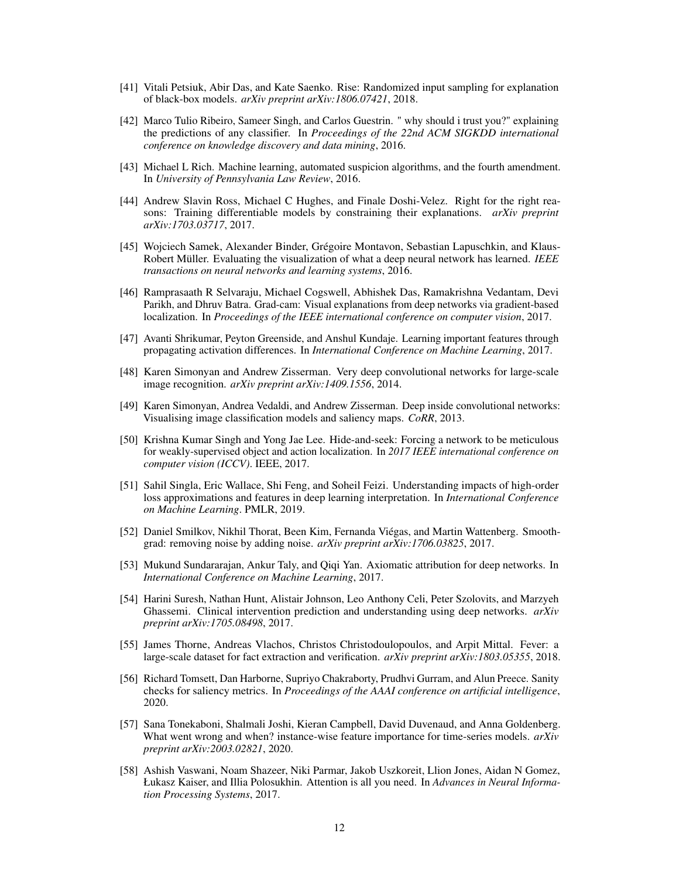- <span id="page-11-12"></span>[41] Vitali Petsiuk, Abir Das, and Kate Saenko. Rise: Randomized input sampling for explanation of black-box models. *arXiv preprint arXiv:1806.07421*, 2018.
- <span id="page-11-8"></span>[42] Marco Tulio Ribeiro, Sameer Singh, and Carlos Guestrin. " why should i trust you?" explaining the predictions of any classifier. In *Proceedings of the 22nd ACM SIGKDD international conference on knowledge discovery and data mining*, 2016.
- <span id="page-11-0"></span>[43] Michael L Rich. Machine learning, automated suspicion algorithms, and the fourth amendment. In *University of Pennsylvania Law Review*, 2016.
- <span id="page-11-13"></span>[44] Andrew Slavin Ross, Michael C Hughes, and Finale Doshi-Velez. Right for the right reasons: Training differentiable models by constraining their explanations. *arXiv preprint arXiv:1703.03717*, 2017.
- <span id="page-11-11"></span>[45] Wojciech Samek, Alexander Binder, Grégoire Montavon, Sebastian Lapuschkin, and Klaus-Robert Müller. Evaluating the visualization of what a deep neural network has learned. *IEEE transactions on neural networks and learning systems*, 2016.
- <span id="page-11-6"></span>[46] Ramprasaath R Selvaraju, Michael Cogswell, Abhishek Das, Ramakrishna Vedantam, Devi Parikh, and Dhruv Batra. Grad-cam: Visual explanations from deep networks via gradient-based localization. In *Proceedings of the IEEE international conference on computer vision*, 2017.
- <span id="page-11-5"></span>[47] Avanti Shrikumar, Peyton Greenside, and Anshul Kundaje. Learning important features through propagating activation differences. In *International Conference on Machine Learning*, 2017.
- <span id="page-11-15"></span>[48] Karen Simonyan and Andrew Zisserman. Very deep convolutional networks for large-scale image recognition. *arXiv preprint arXiv:1409.1556*, 2014.
- <span id="page-11-1"></span>[49] Karen Simonyan, Andrea Vedaldi, and Andrew Zisserman. Deep inside convolutional networks: Visualising image classification models and saliency maps. *CoRR*, 2013.
- <span id="page-11-14"></span>[50] Krishna Kumar Singh and Yong Jae Lee. Hide-and-seek: Forcing a network to be meticulous for weakly-supervised object and action localization. In *2017 IEEE international conference on computer vision (ICCV)*. IEEE, 2017.
- <span id="page-11-4"></span>[51] Sahil Singla, Eric Wallace, Shi Feng, and Soheil Feizi. Understanding impacts of high-order loss approximations and features in deep learning interpretation. In *International Conference on Machine Learning*. PMLR, 2019.
- <span id="page-11-3"></span>[52] Daniel Smilkov, Nikhil Thorat, Been Kim, Fernanda Viégas, and Martin Wattenberg. Smoothgrad: removing noise by adding noise. *arXiv preprint arXiv:1706.03825*, 2017.
- <span id="page-11-2"></span>[53] Mukund Sundararajan, Ankur Taly, and Qiqi Yan. Axiomatic attribution for deep networks. In *International Conference on Machine Learning*, 2017.
- <span id="page-11-7"></span>[54] Harini Suresh, Nathan Hunt, Alistair Johnson, Leo Anthony Celi, Peter Szolovits, and Marzyeh Ghassemi. Clinical intervention prediction and understanding using deep networks. *arXiv preprint arXiv:1705.08498*, 2017.
- <span id="page-11-17"></span>[55] James Thorne, Andreas Vlachos, Christos Christodoulopoulos, and Arpit Mittal. Fever: a large-scale dataset for fact extraction and verification. *arXiv preprint arXiv:1803.05355*, 2018.
- <span id="page-11-10"></span>[56] Richard Tomsett, Dan Harborne, Supriyo Chakraborty, Prudhvi Gurram, and Alun Preece. Sanity checks for saliency metrics. In *Proceedings of the AAAI conference on artificial intelligence*, 2020.
- <span id="page-11-9"></span>[57] Sana Tonekaboni, Shalmali Joshi, Kieran Campbell, David Duvenaud, and Anna Goldenberg. What went wrong and when? instance-wise feature importance for time-series models. *arXiv preprint arXiv:2003.02821*, 2020.
- <span id="page-11-16"></span>[58] Ashish Vaswani, Noam Shazeer, Niki Parmar, Jakob Uszkoreit, Llion Jones, Aidan N Gomez, Łukasz Kaiser, and Illia Polosukhin. Attention is all you need. In *Advances in Neural Information Processing Systems*, 2017.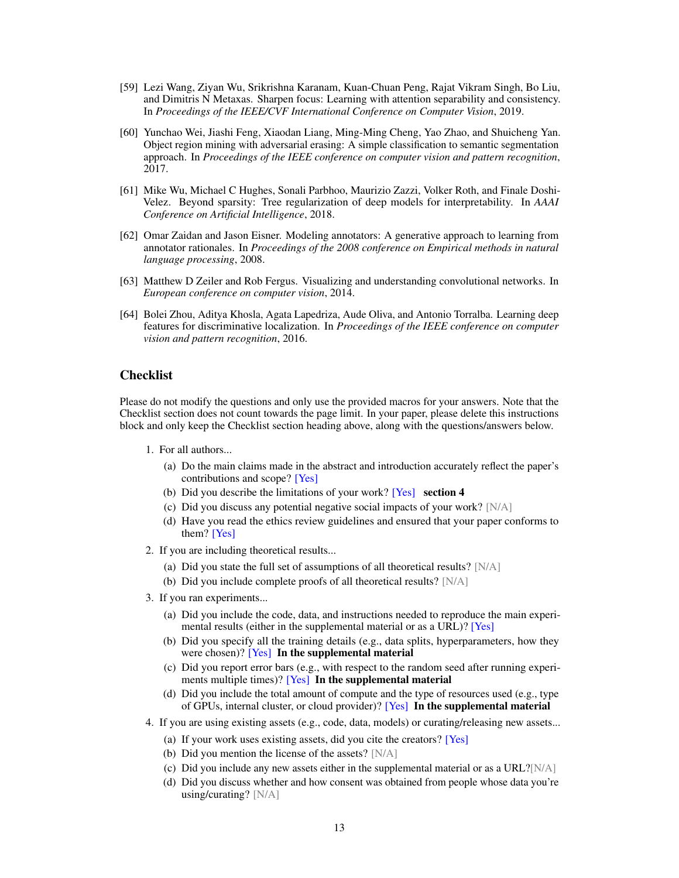- <span id="page-12-4"></span>[59] Lezi Wang, Ziyan Wu, Srikrishna Karanam, Kuan-Chuan Peng, Rajat Vikram Singh, Bo Liu, and Dimitris N Metaxas. Sharpen focus: Learning with attention separability and consistency. In *Proceedings of the IEEE/CVF International Conference on Computer Vision*, 2019.
- <span id="page-12-3"></span>[60] Yunchao Wei, Jiashi Feng, Xiaodan Liang, Ming-Ming Cheng, Yao Zhao, and Shuicheng Yan. Object region mining with adversarial erasing: A simple classification to semantic segmentation approach. In *Proceedings of the IEEE conference on computer vision and pattern recognition*, 2017.
- <span id="page-12-2"></span>[61] Mike Wu, Michael C Hughes, Sonali Parbhoo, Maurizio Zazzi, Volker Roth, and Finale Doshi-Velez. Beyond sparsity: Tree regularization of deep models for interpretability. In *AAAI Conference on Artificial Intelligence*, 2018.
- <span id="page-12-5"></span>[62] Omar Zaidan and Jason Eisner. Modeling annotators: A generative approach to learning from annotator rationales. In *Proceedings of the 2008 conference on Empirical methods in natural language processing*, 2008.
- <span id="page-12-0"></span>[63] Matthew D Zeiler and Rob Fergus. Visualizing and understanding convolutional networks. In *European conference on computer vision*, 2014.
- <span id="page-12-1"></span>[64] Bolei Zhou, Aditya Khosla, Agata Lapedriza, Aude Oliva, and Antonio Torralba. Learning deep features for discriminative localization. In *Proceedings of the IEEE conference on computer vision and pattern recognition*, 2016.

# **Checklist**

Please do not modify the questions and only use the provided macros for your answers. Note that the Checklist section does not count towards the page limit. In your paper, please delete this instructions block and only keep the Checklist section heading above, along with the questions/answers below.

- 1. For all authors...
	- (a) Do the main claims made in the abstract and introduction accurately reflect the paper's contributions and scope? [Yes]
	- (b) Did you describe the limitations of your work? [Yes] section 4
	- (c) Did you discuss any potential negative social impacts of your work? [N/A]
	- (d) Have you read the ethics review guidelines and ensured that your paper conforms to them? [Yes]
- 2. If you are including theoretical results...
	- (a) Did you state the full set of assumptions of all theoretical results? [N/A]
	- (b) Did you include complete proofs of all theoretical results? [N/A]
- 3. If you ran experiments...
	- (a) Did you include the code, data, and instructions needed to reproduce the main experimental results (either in the supplemental material or as a URL)? [Yes]
	- (b) Did you specify all the training details (e.g., data splits, hyperparameters, how they were chosen)? [Yes] In the supplemental material
	- (c) Did you report error bars (e.g., with respect to the random seed after running experiments multiple times)? [Yes] In the supplemental material
	- (d) Did you include the total amount of compute and the type of resources used (e.g., type of GPUs, internal cluster, or cloud provider)? [Yes] In the supplemental material
- 4. If you are using existing assets (e.g., code, data, models) or curating/releasing new assets...
	- (a) If your work uses existing assets, did you cite the creators? [Yes]
	- (b) Did you mention the license of the assets? [N/A]
	- (c) Did you include any new assets either in the supplemental material or as a URL? $[N/A]$
	- (d) Did you discuss whether and how consent was obtained from people whose data you're using/curating? [N/A]